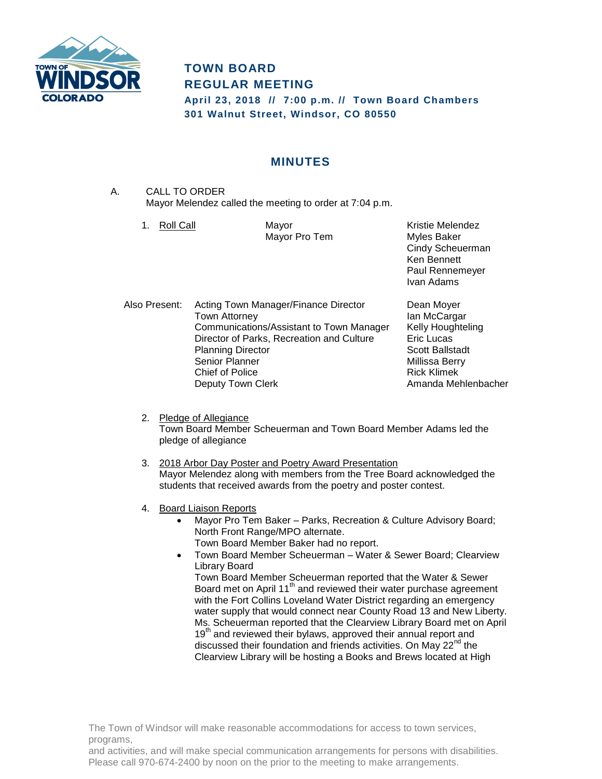

# **TOWN BOARD REGULAR MEETING**

**April 23, 2018 // 7:00 p.m. // Town Board Chambers 301 Walnut Street, Windsor, CO 80550**

## **MINUTES**

- A. CALL TO ORDER Mayor Melendez called the meeting to order at 7:04 p.m.
	- 1. Roll Call **Mayor** Mayor **Kristie Melendez**

Mayor Pro Tem Myles Baker

Cindy Scheuerman Ken Bennett Paul Rennemeyer Ivan Adams

Also Present: Acting Town Manager/Finance Director Dean Moyer Town Attorney **Ian McCargar** Communications/Assistant to Town Manager Kelly Houghteling Director of Parks, Recreation and Culture Eric Lucas Planning Director Scott Ballstadt Senior Planner Millissa Berry Chief of Police **Rick Klimek** Deputy Town Clerk **Amanda Mehlenbacher** Amanda Mehlenbacher

- 2. Pledge of Allegiance Town Board Member Scheuerman and Town Board Member Adams led the pledge of allegiance
- 3. 2018 Arbor Day Poster and Poetry Award Presentation Mayor Melendez along with members from the Tree Board acknowledged the students that received awards from the poetry and poster contest.
- 4. Board Liaison Reports
	- Mayor Pro Tem Baker Parks, Recreation & Culture Advisory Board; North Front Range/MPO alternate. Town Board Member Baker had no report.
	- Town Board Member Scheuerman Water & Sewer Board; Clearview Library Board

Town Board Member Scheuerman reported that the Water & Sewer Board met on April 11<sup>th</sup> and reviewed their water purchase agreement with the Fort Collins Loveland Water District regarding an emergency water supply that would connect near County Road 13 and New Liberty. Ms. Scheuerman reported that the Clearview Library Board met on April 19<sup>th</sup> and reviewed their bylaws, approved their annual report and discussed their foundation and friends activities. On May 22<sup>nd</sup> the Clearview Library will be hosting a Books and Brews located at High

The Town of Windsor will make reasonable accommodations for access to town services, programs,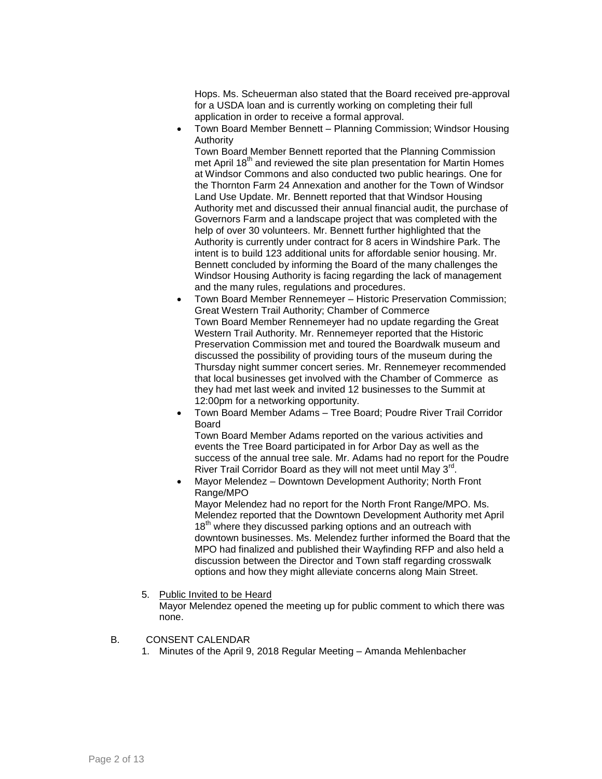Hops. Ms. Scheuerman also stated that the Board received pre-approval for a USDA loan and is currently working on completing their full application in order to receive a formal approval.

 Town Board Member Bennett – Planning Commission; Windsor Housing Authority

Town Board Member Bennett reported that the Planning Commission met April 18<sup>th</sup> and reviewed the site plan presentation for Martin Homes at Windsor Commons and also conducted two public hearings. One for the Thornton Farm 24 Annexation and another for the Town of Windsor Land Use Update. Mr. Bennett reported that that Windsor Housing Authority met and discussed their annual financial audit, the purchase of Governors Farm and a landscape project that was completed with the help of over 30 volunteers. Mr. Bennett further highlighted that the Authority is currently under contract for 8 acers in Windshire Park. The intent is to build 123 additional units for affordable senior housing. Mr. Bennett concluded by informing the Board of the many challenges the Windsor Housing Authority is facing regarding the lack of management and the many rules, regulations and procedures.

- Town Board Member Rennemeyer Historic Preservation Commission; Great Western Trail Authority; Chamber of Commerce Town Board Member Rennemeyer had no update regarding the Great Western Trail Authority. Mr. Rennemeyer reported that the Historic Preservation Commission met and toured the Boardwalk museum and discussed the possibility of providing tours of the museum during the Thursday night summer concert series. Mr. Rennemeyer recommended that local businesses get involved with the Chamber of Commerce as they had met last week and invited 12 businesses to the Summit at 12:00pm for a networking opportunity.
- Town Board Member Adams Tree Board; Poudre River Trail Corridor Board

Town Board Member Adams reported on the various activities and events the Tree Board participated in for Arbor Day as well as the success of the annual tree sale. Mr. Adams had no report for the Poudre River Trail Corridor Board as they will not meet until May 3<sup>rd</sup>.

 Mayor Melendez – Downtown Development Authority; North Front Range/MPO Mayor Melendez had no report for the North Front Range/MPO. Ms. Melendez reported that the Downtown Development Authority met April 18<sup>th</sup> where they discussed parking options and an outreach with downtown businesses. Ms. Melendez further informed the Board that the MPO had finalized and published their Wayfinding RFP and also held a discussion between the Director and Town staff regarding crosswalk options and how they might alleviate concerns along Main Street.

#### 5. Public Invited to be Heard

Mayor Melendez opened the meeting up for public comment to which there was none.

#### B. CONSENT CALENDAR

1. Minutes of the April 9, 2018 Regular Meeting – Amanda Mehlenbacher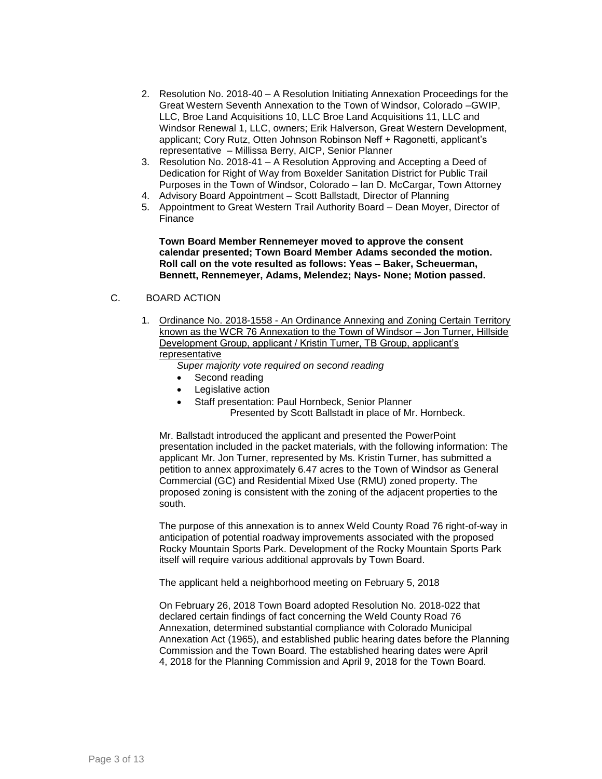- 2. Resolution No. 2018-40 A Resolution Initiating Annexation Proceedings for the Great Western Seventh Annexation to the Town of Windsor, Colorado –GWIP, LLC, Broe Land Acquisitions 10, LLC Broe Land Acquisitions 11, LLC and Windsor Renewal 1, LLC, owners; Erik Halverson, Great Western Development, applicant; Cory Rutz, Otten Johnson Robinson Neff + Ragonetti, applicant's representative – Millissa Berry, AICP, Senior Planner
- 3. Resolution No. 2018-41 A Resolution Approving and Accepting a Deed of Dedication for Right of Way from Boxelder Sanitation District for Public Trail Purposes in the Town of Windsor, Colorado – Ian D. McCargar, Town Attorney
- 4. Advisory Board Appointment Scott Ballstadt, Director of Planning
- 5. Appointment to Great Western Trail Authority Board Dean Moyer, Director of Finance

**Town Board Member Rennemeyer moved to approve the consent calendar presented; Town Board Member Adams seconded the motion. Roll call on the vote resulted as follows: Yeas – Baker, Scheuerman, Bennett, Rennemeyer, Adams, Melendez; Nays- None; Motion passed.**

### C. BOARD ACTION

1. Ordinance No. 2018-1558 - An Ordinance Annexing and Zoning Certain Territory known as the WCR 76 Annexation to the Town of Windsor – Jon Turner, Hillside Development Group, applicant / Kristin Turner, TB Group, applicant's representative

*Super majority vote required on second reading*

- Second reading
- Legislative action
	- Staff presentation: Paul Hornbeck, Senior Planner
		- Presented by Scott Ballstadt in place of Mr. Hornbeck.

Mr. Ballstadt introduced the applicant and presented the PowerPoint presentation included in the packet materials, with the following information: The applicant Mr. Jon Turner, represented by Ms. Kristin Turner, has submitted a petition to annex approximately 6.47 acres to the Town of Windsor as General Commercial (GC) and Residential Mixed Use (RMU) zoned property. The proposed zoning is consistent with the zoning of the adjacent properties to the south.

The purpose of this annexation is to annex Weld County Road 76 right-of-way in anticipation of potential roadway improvements associated with the proposed Rocky Mountain Sports Park. Development of the Rocky Mountain Sports Park itself will require various additional approvals by Town Board.

The applicant held a neighborhood meeting on February 5, 2018

On February 26, 2018 Town Board adopted Resolution No. 2018-022 that declared certain findings of fact concerning the Weld County Road 76 Annexation, determined substantial compliance with Colorado Municipal Annexation Act (1965), and established public hearing dates before the Planning Commission and the Town Board. The established hearing dates were April 4, 2018 for the Planning Commission and April 9, 2018 for the Town Board.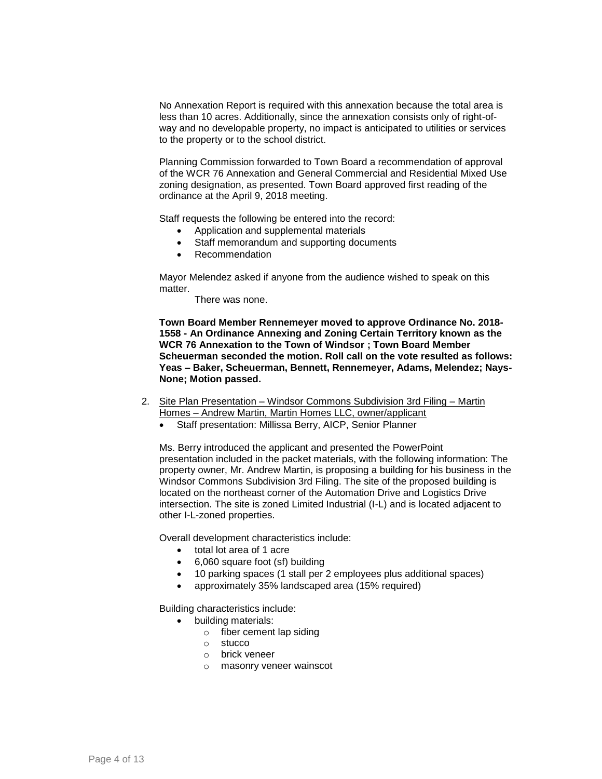No Annexation Report is required with this annexation because the total area is less than 10 acres. Additionally, since the annexation consists only of right-ofway and no developable property, no impact is anticipated to utilities or services to the property or to the school district.

Planning Commission forwarded to Town Board a recommendation of approval of the WCR 76 Annexation and General Commercial and Residential Mixed Use zoning designation, as presented. Town Board approved first reading of the ordinance at the April 9, 2018 meeting.

Staff requests the following be entered into the record:

- Application and supplemental materials
- Staff memorandum and supporting documents
- Recommendation

Mayor Melendez asked if anyone from the audience wished to speak on this matter.

There was none.

**Town Board Member Rennemeyer moved to approve Ordinance No. 2018- 1558 - An Ordinance Annexing and Zoning Certain Territory known as the WCR 76 Annexation to the Town of Windsor ; Town Board Member Scheuerman seconded the motion. Roll call on the vote resulted as follows: Yeas – Baker, Scheuerman, Bennett, Rennemeyer, Adams, Melendez; Nays-None; Motion passed.**

- 2. Site Plan Presentation Windsor Commons Subdivision 3rd Filing Martin Homes – Andrew Martin, Martin Homes LLC, owner/applicant
	- Staff presentation: Millissa Berry, AICP, Senior Planner

Ms. Berry introduced the applicant and presented the PowerPoint presentation included in the packet materials, with the following information: The property owner, Mr. Andrew Martin, is proposing a building for his business in the Windsor Commons Subdivision 3rd Filing. The site of the proposed building is located on the northeast corner of the Automation Drive and Logistics Drive intersection. The site is zoned Limited Industrial (I-L) and is located adjacent to other I-L-zoned properties.

Overall development characteristics include:

- total lot area of 1 acre
- 6,060 square foot (sf) building
- 10 parking spaces (1 stall per 2 employees plus additional spaces)
- approximately 35% landscaped area (15% required)

Building characteristics include:

- building materials:
	- o fiber cement lap siding
	- o stucco
	- o brick veneer
	- o masonry veneer wainscot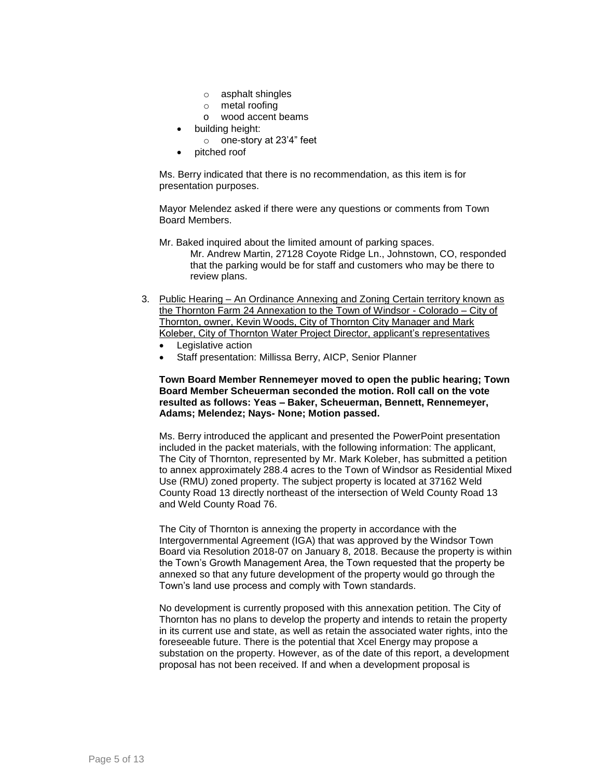- o asphalt shingles
- o metal roofing
- o wood accent beams
- building height:
	- o one-story at 23'4" feet
- pitched roof

Ms. Berry indicated that there is no recommendation, as this item is for presentation purposes.

Mayor Melendez asked if there were any questions or comments from Town Board Members.

Mr. Baked inquired about the limited amount of parking spaces. Mr. Andrew Martin, 27128 Coyote Ridge Ln., Johnstown, CO, responded that the parking would be for staff and customers who may be there to review plans.

- 3. Public Hearing An Ordinance Annexing and Zoning Certain territory known as the Thornton Farm 24 Annexation to the Town of Windsor - Colorado – City of Thornton, owner, Kevin Woods, City of Thornton City Manager and Mark Koleber, City of Thornton Water Project Director, applicant's representatives
	- Legislative action
	- Staff presentation: Millissa Berry, AICP, Senior Planner

#### **Town Board Member Rennemeyer moved to open the public hearing; Town Board Member Scheuerman seconded the motion. Roll call on the vote resulted as follows: Yeas – Baker, Scheuerman, Bennett, Rennemeyer, Adams; Melendez; Nays- None; Motion passed.**

Ms. Berry introduced the applicant and presented the PowerPoint presentation included in the packet materials, with the following information: The applicant, The City of Thornton, represented by Mr. Mark Koleber, has submitted a petition to annex approximately 288.4 acres to the Town of Windsor as Residential Mixed Use (RMU) zoned property. The subject property is located at 37162 Weld County Road 13 directly northeast of the intersection of Weld County Road 13 and Weld County Road 76.

The City of Thornton is annexing the property in accordance with the Intergovernmental Agreement (IGA) that was approved by the Windsor Town Board via Resolution 2018-07 on January 8, 2018. Because the property is within the Town's Growth Management Area, the Town requested that the property be annexed so that any future development of the property would go through the Town's land use process and comply with Town standards.

No development is currently proposed with this annexation petition. The City of Thornton has no plans to develop the property and intends to retain the property in its current use and state, as well as retain the associated water rights, into the foreseeable future. There is the potential that Xcel Energy may propose a substation on the property. However, as of the date of this report, a development proposal has not been received. If and when a development proposal is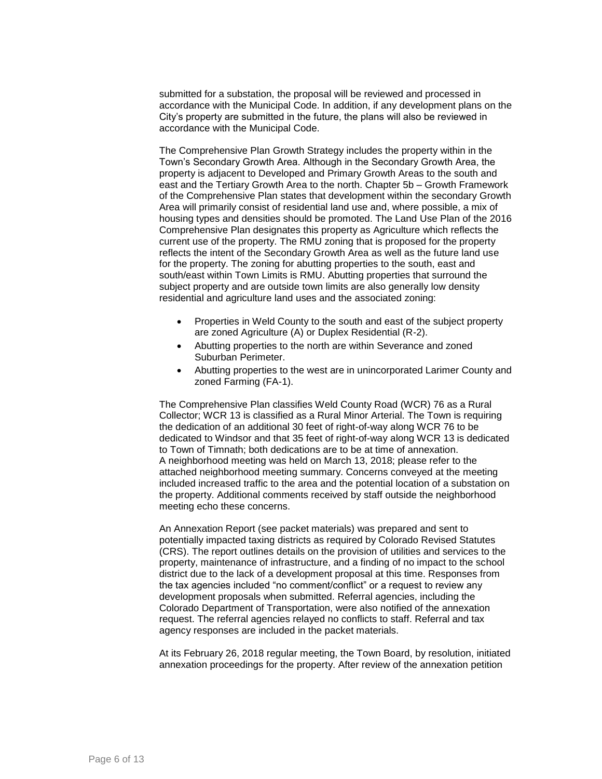submitted for a substation, the proposal will be reviewed and processed in accordance with the Municipal Code. In addition, if any development plans on the City's property are submitted in the future, the plans will also be reviewed in accordance with the Municipal Code.

The Comprehensive Plan Growth Strategy includes the property within in the Town's Secondary Growth Area. Although in the Secondary Growth Area, the property is adjacent to Developed and Primary Growth Areas to the south and east and the Tertiary Growth Area to the north. Chapter 5b – Growth Framework of the Comprehensive Plan states that development within the secondary Growth Area will primarily consist of residential land use and, where possible, a mix of housing types and densities should be promoted. The Land Use Plan of the 2016 Comprehensive Plan designates this property as Agriculture which reflects the current use of the property. The RMU zoning that is proposed for the property reflects the intent of the Secondary Growth Area as well as the future land use for the property. The zoning for abutting properties to the south, east and south/east within Town Limits is RMU. Abutting properties that surround the subject property and are outside town limits are also generally low density residential and agriculture land uses and the associated zoning:

- Properties in Weld County to the south and east of the subject property are zoned Agriculture (A) or Duplex Residential (R-2).
- Abutting properties to the north are within Severance and zoned Suburban Perimeter.
- Abutting properties to the west are in unincorporated Larimer County and zoned Farming (FA-1).

The Comprehensive Plan classifies Weld County Road (WCR) 76 as a Rural Collector; WCR 13 is classified as a Rural Minor Arterial. The Town is requiring the dedication of an additional 30 feet of right-of-way along WCR 76 to be dedicated to Windsor and that 35 feet of right-of-way along WCR 13 is dedicated to Town of Timnath; both dedications are to be at time of annexation. A neighborhood meeting was held on March 13, 2018; please refer to the attached neighborhood meeting summary. Concerns conveyed at the meeting included increased traffic to the area and the potential location of a substation on the property. Additional comments received by staff outside the neighborhood meeting echo these concerns.

An Annexation Report (see packet materials) was prepared and sent to potentially impacted taxing districts as required by Colorado Revised Statutes (CRS). The report outlines details on the provision of utilities and services to the property, maintenance of infrastructure, and a finding of no impact to the school district due to the lack of a development proposal at this time. Responses from the tax agencies included "no comment/conflict" or a request to review any development proposals when submitted. Referral agencies, including the Colorado Department of Transportation, were also notified of the annexation request. The referral agencies relayed no conflicts to staff. Referral and tax agency responses are included in the packet materials.

At its February 26, 2018 regular meeting, the Town Board, by resolution, initiated annexation proceedings for the property. After review of the annexation petition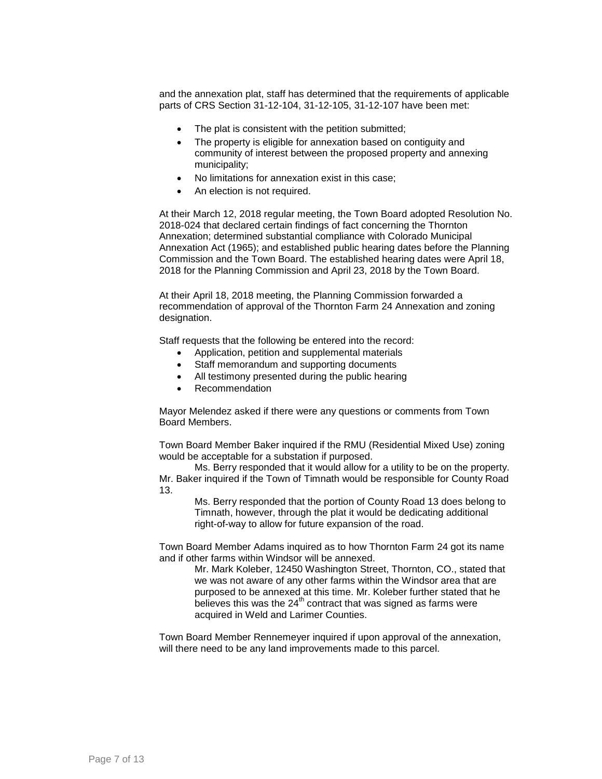and the annexation plat, staff has determined that the requirements of applicable parts of CRS Section 31-12-104, 31-12-105, 31-12-107 have been met:

- The plat is consistent with the petition submitted;
- The property is eligible for annexation based on contiguity and community of interest between the proposed property and annexing municipality;
- No limitations for annexation exist in this case;
- An election is not required.

At their March 12, 2018 regular meeting, the Town Board adopted Resolution No. 2018-024 that declared certain findings of fact concerning the Thornton Annexation; determined substantial compliance with Colorado Municipal Annexation Act (1965); and established public hearing dates before the Planning Commission and the Town Board. The established hearing dates were April 18, 2018 for the Planning Commission and April 23, 2018 by the Town Board.

At their April 18, 2018 meeting, the Planning Commission forwarded a recommendation of approval of the Thornton Farm 24 Annexation and zoning designation.

Staff requests that the following be entered into the record:

- Application, petition and supplemental materials
- Staff memorandum and supporting documents
- All testimony presented during the public hearing
- Recommendation

Mayor Melendez asked if there were any questions or comments from Town Board Members.

Town Board Member Baker inquired if the RMU (Residential Mixed Use) zoning would be acceptable for a substation if purposed.

Ms. Berry responded that it would allow for a utility to be on the property. Mr. Baker inquired if the Town of Timnath would be responsible for County Road 13.

Ms. Berry responded that the portion of County Road 13 does belong to Timnath, however, through the plat it would be dedicating additional right-of-way to allow for future expansion of the road.

Town Board Member Adams inquired as to how Thornton Farm 24 got its name and if other farms within Windsor will be annexed.

> Mr. Mark Koleber, 12450 Washington Street, Thornton, CO., stated that we was not aware of any other farms within the Windsor area that are purposed to be annexed at this time. Mr. Koleber further stated that he believes this was the  $24<sup>th</sup>$  contract that was signed as farms were acquired in Weld and Larimer Counties.

Town Board Member Rennemeyer inquired if upon approval of the annexation, will there need to be any land improvements made to this parcel.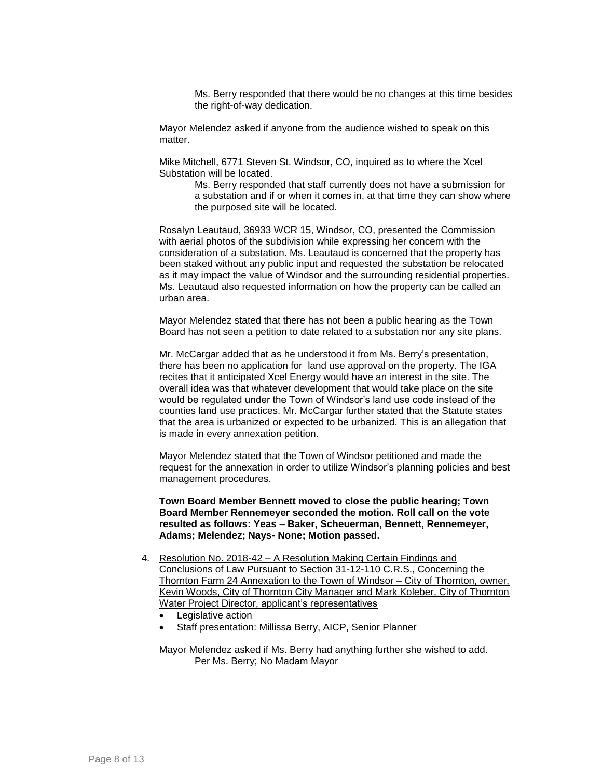Ms. Berry responded that there would be no changes at this time besides the right-of-way dedication.

Mayor Melendez asked if anyone from the audience wished to speak on this matter.

Mike Mitchell, 6771 Steven St. Windsor, CO, inquired as to where the Xcel Substation will be located.

> Ms. Berry responded that staff currently does not have a submission for a substation and if or when it comes in, at that time they can show where the purposed site will be located.

Rosalyn Leautaud, 36933 WCR 15, Windsor, CO, presented the Commission with aerial photos of the subdivision while expressing her concern with the consideration of a substation. Ms. Leautaud is concerned that the property has been staked without any public input and requested the substation be relocated as it may impact the value of Windsor and the surrounding residential properties. Ms. Leautaud also requested information on how the property can be called an urban area.

Mayor Melendez stated that there has not been a public hearing as the Town Board has not seen a petition to date related to a substation nor any site plans.

Mr. McCargar added that as he understood it from Ms. Berry's presentation, there has been no application for land use approval on the property. The IGA recites that it anticipated Xcel Energy would have an interest in the site. The overall idea was that whatever development that would take place on the site would be regulated under the Town of Windsor's land use code instead of the counties land use practices. Mr. McCargar further stated that the Statute states that the area is urbanized or expected to be urbanized. This is an allegation that is made in every annexation petition.

Mayor Melendez stated that the Town of Windsor petitioned and made the request for the annexation in order to utilize Windsor's planning policies and best management procedures.

**Town Board Member Bennett moved to close the public hearing; Town Board Member Rennemeyer seconded the motion. Roll call on the vote resulted as follows: Yeas – Baker, Scheuerman, Bennett, Rennemeyer, Adams; Melendez; Nays- None; Motion passed.**

- 4. Resolution No. 2018-42 A Resolution Making Certain Findings and Conclusions of Law Pursuant to Section 31-12-110 C.R.S., Concerning the Thornton Farm 24 Annexation to the Town of Windsor – City of Thornton, owner, Kevin Woods, City of Thornton City Manager and Mark Koleber, City of Thornton Water Project Director, applicant's representatives
	- Legislative action
	- Staff presentation: Millissa Berry, AICP, Senior Planner

Mayor Melendez asked if Ms. Berry had anything further she wished to add. Per Ms. Berry; No Madam Mayor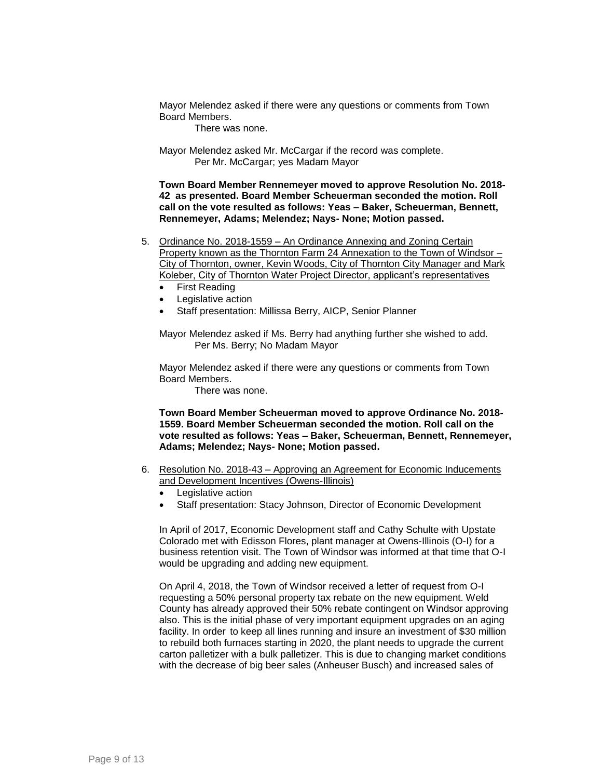Mayor Melendez asked if there were any questions or comments from Town Board Members.

There was none.

Mayor Melendez asked Mr. McCargar if the record was complete. Per Mr. McCargar; yes Madam Mayor

**Town Board Member Rennemeyer moved to approve Resolution No. 2018- 42 as presented. Board Member Scheuerman seconded the motion. Roll call on the vote resulted as follows: Yeas – Baker, Scheuerman, Bennett, Rennemeyer, Adams; Melendez; Nays- None; Motion passed.**

- 5. Ordinance No. 2018-1559 An Ordinance Annexing and Zoning Certain Property known as the Thornton Farm 24 Annexation to the Town of Windsor – City of Thornton, owner, Kevin Woods, City of Thornton City Manager and Mark Koleber, City of Thornton Water Project Director, applicant's representatives
	- First Reading
	- Legislative action
	- Staff presentation: Millissa Berry, AICP, Senior Planner

Mayor Melendez asked if Ms. Berry had anything further she wished to add. Per Ms. Berry; No Madam Mayor

Mayor Melendez asked if there were any questions or comments from Town Board Members.

There was none.

**Town Board Member Scheuerman moved to approve Ordinance No. 2018- 1559. Board Member Scheuerman seconded the motion. Roll call on the vote resulted as follows: Yeas – Baker, Scheuerman, Bennett, Rennemeyer, Adams; Melendez; Nays- None; Motion passed.**

- 6. Resolution No. 2018-43 Approving an Agreement for Economic Inducements and Development Incentives (Owens-Illinois)
	- Legislative action
	- Staff presentation: Stacy Johnson, Director of Economic Development

In April of 2017, Economic Development staff and Cathy Schulte with Upstate Colorado met with Edisson Flores, plant manager at Owens-Illinois (O-I) for a business retention visit. The Town of Windsor was informed at that time that O-I would be upgrading and adding new equipment.

On April 4, 2018, the Town of Windsor received a letter of request from O-I requesting a 50% personal property tax rebate on the new equipment. Weld County has already approved their 50% rebate contingent on Windsor approving also. This is the initial phase of very important equipment upgrades on an aging facility. In order to keep all lines running and insure an investment of \$30 million to rebuild both furnaces starting in 2020, the plant needs to upgrade the current carton palletizer with a bulk palletizer. This is due to changing market conditions with the decrease of big beer sales (Anheuser Busch) and increased sales of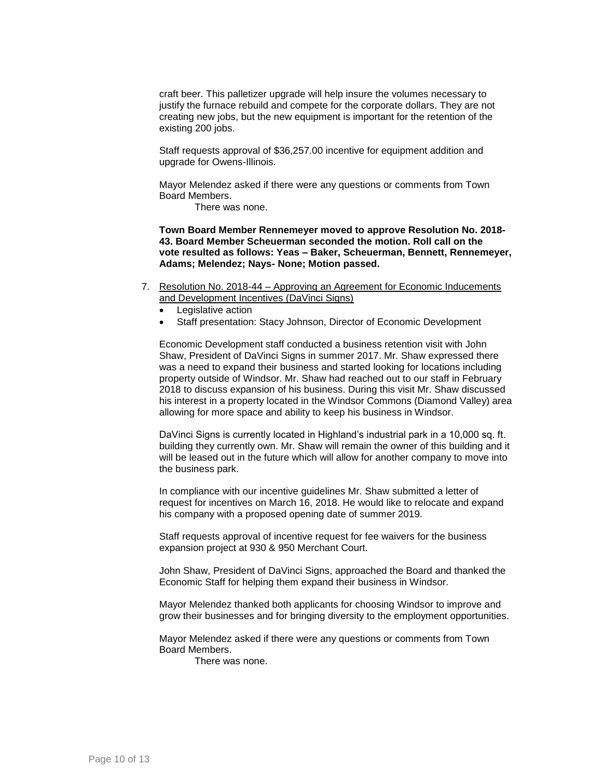craft beer. This palletizer upgrade will help insure the volumes necessary to justify the furnace rebuild and compete for the corporate dollars. They are not creating new jobs, but the new equipment is important for the retention of the existing 200 jobs.

Staff requests approval of \$36,257.00 incentive for equipment addition and upgrade for Owens-Illinois.

Mayor Melendez asked if there were any questions or comments from Town Board Members.

There was none.

**Town Board Member Rennemeyer moved to approve Resolution No. 2018- 43. Board Member Scheuerman seconded the motion. Roll call on the vote resulted as follows: Yeas – Baker, Scheuerman, Bennett, Rennemeyer, Adams; Melendez; Nays- None; Motion passed.**

- 7. Resolution No. 2018-44 Approving an Agreement for Economic Inducements and Development Incentives (DaVinci Signs)
	- Legislative action
	- Staff presentation: Stacy Johnson, Director of Economic Development

Economic Development staff conducted a business retention visit with John Shaw, President of DaVinci Signs in summer 2017. Mr. Shaw expressed there was a need to expand their business and started looking for locations including property outside of Windsor. Mr. Shaw had reached out to our staff in February 2018 to discuss expansion of his business. During this visit Mr. Shaw discussed his interest in a property located in the Windsor Commons (Diamond Valley) area allowing for more space and ability to keep his business in Windsor.

DaVinci Signs is currently located in Highland's industrial park in a 10,000 sq. ft. building they currently own. Mr. Shaw will remain the owner of this building and it will be leased out in the future which will allow for another company to move into the business park.

In compliance with our incentive guidelines Mr. Shaw submitted a letter of request for incentives on March 16, 2018. He would like to relocate and expand his company with a proposed opening date of summer 2019.

Staff requests approval of incentive request for fee waivers for the business expansion project at 930 & 950 Merchant Court.

John Shaw, President of DaVinci Signs, approached the Board and thanked the Economic Staff for helping them expand their business in Windsor.

Mayor Melendez thanked both applicants for choosing Windsor to improve and grow their businesses and for bringing diversity to the employment opportunities.

Mayor Melendez asked if there were any questions or comments from Town Board Members.

There was none.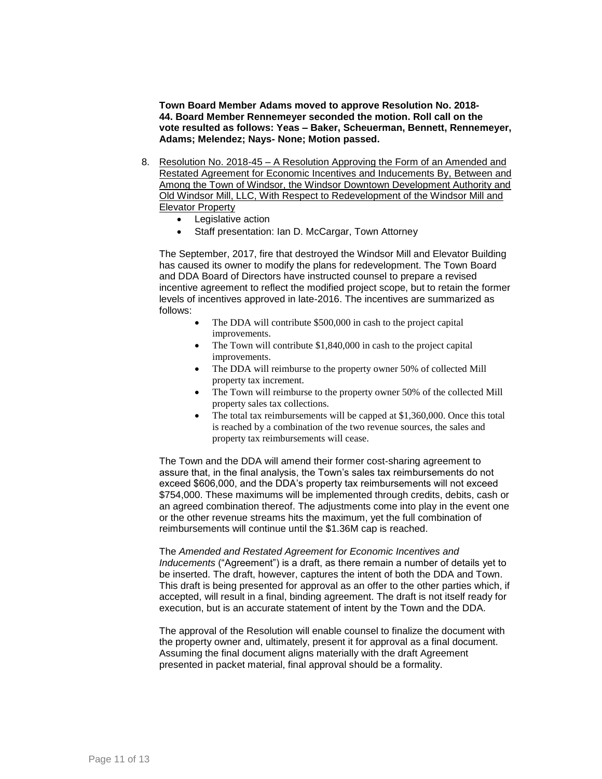**Town Board Member Adams moved to approve Resolution No. 2018- 44. Board Member Rennemeyer seconded the motion. Roll call on the vote resulted as follows: Yeas – Baker, Scheuerman, Bennett, Rennemeyer, Adams; Melendez; Nays- None; Motion passed.**

- 8. Resolution No. 2018-45 A Resolution Approving the Form of an Amended and Restated Agreement for Economic Incentives and Inducements By, Between and Among the Town of Windsor, the Windsor Downtown Development Authority and Old Windsor Mill, LLC, With Respect to Redevelopment of the Windsor Mill and Elevator Property
	- Legislative action
	- Staff presentation: Ian D. McCargar, Town Attorney

The September, 2017, fire that destroyed the Windsor Mill and Elevator Building has caused its owner to modify the plans for redevelopment. The Town Board and DDA Board of Directors have instructed counsel to prepare a revised incentive agreement to reflect the modified project scope, but to retain the former levels of incentives approved in late-2016. The incentives are summarized as follows:

- The DDA will contribute \$500,000 in cash to the project capital improvements.
- The Town will contribute \$1,840,000 in cash to the project capital improvements.
- The DDA will reimburse to the property owner 50% of collected Mill property tax increment.
- The Town will reimburse to the property owner 50% of the collected Mill property sales tax collections.
- The total tax reimbursements will be capped at \$1,360,000. Once this total is reached by a combination of the two revenue sources, the sales and property tax reimbursements will cease.

The Town and the DDA will amend their former cost-sharing agreement to assure that, in the final analysis, the Town's sales tax reimbursements do not exceed \$606,000, and the DDA's property tax reimbursements will not exceed \$754,000. These maximums will be implemented through credits, debits, cash or an agreed combination thereof. The adjustments come into play in the event one or the other revenue streams hits the maximum, yet the full combination of reimbursements will continue until the \$1.36M cap is reached.

The *Amended and Restated Agreement for Economic Incentives and Inducements* ("Agreement") is a draft, as there remain a number of details yet to be inserted. The draft, however, captures the intent of both the DDA and Town. This draft is being presented for approval as an offer to the other parties which, if accepted, will result in a final, binding agreement. The draft is not itself ready for execution, but is an accurate statement of intent by the Town and the DDA.

The approval of the Resolution will enable counsel to finalize the document with the property owner and, ultimately, present it for approval as a final document. Assuming the final document aligns materially with the draft Agreement presented in packet material, final approval should be a formality.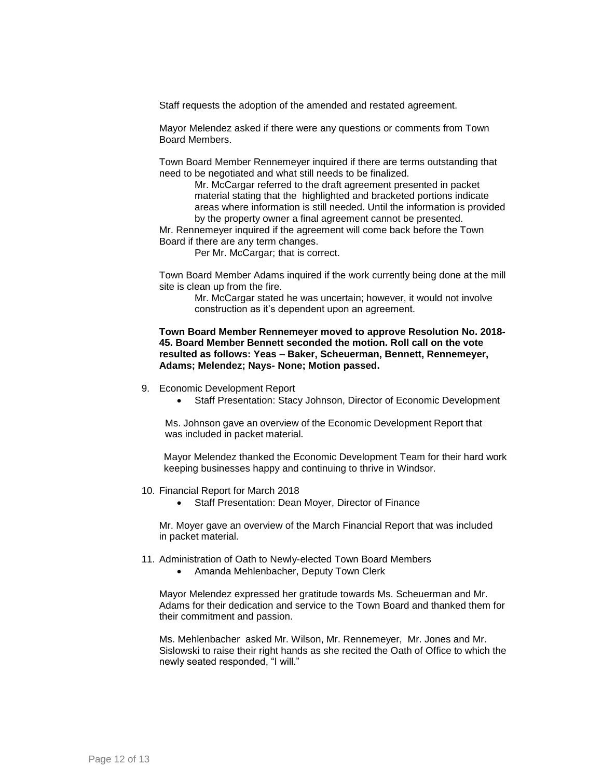Staff requests the adoption of the amended and restated agreement.

Mayor Melendez asked if there were any questions or comments from Town Board Members.

Town Board Member Rennemeyer inquired if there are terms outstanding that need to be negotiated and what still needs to be finalized.

> Mr. McCargar referred to the draft agreement presented in packet material stating that the highlighted and bracketed portions indicate areas where information is still needed. Until the information is provided by the property owner a final agreement cannot be presented.

Mr. Rennemeyer inquired if the agreement will come back before the Town Board if there are any term changes.

Per Mr. McCargar; that is correct.

Town Board Member Adams inquired if the work currently being done at the mill site is clean up from the fire.

Mr. McCargar stated he was uncertain; however, it would not involve construction as it's dependent upon an agreement.

#### **Town Board Member Rennemeyer moved to approve Resolution No. 2018- 45. Board Member Bennett seconded the motion. Roll call on the vote resulted as follows: Yeas – Baker, Scheuerman, Bennett, Rennemeyer, Adams; Melendez; Nays- None; Motion passed.**

- 9. Economic Development Report
	- Staff Presentation: Stacy Johnson, Director of Economic Development

Ms. Johnson gave an overview of the Economic Development Report that was included in packet material.

Mayor Melendez thanked the Economic Development Team for their hard work keeping businesses happy and continuing to thrive in Windsor.

- 10. Financial Report for March 2018
	- Staff Presentation: Dean Moyer, Director of Finance

Mr. Moyer gave an overview of the March Financial Report that was included in packet material.

- 11. Administration of Oath to Newly-elected Town Board Members
	- Amanda Mehlenbacher, Deputy Town Clerk

Mayor Melendez expressed her gratitude towards Ms. Scheuerman and Mr. Adams for their dedication and service to the Town Board and thanked them for their commitment and passion.

Ms. Mehlenbacher asked Mr. Wilson, Mr. Rennemeyer, Mr. Jones and Mr. Sislowski to raise their right hands as she recited the Oath of Office to which the newly seated responded, "I will."